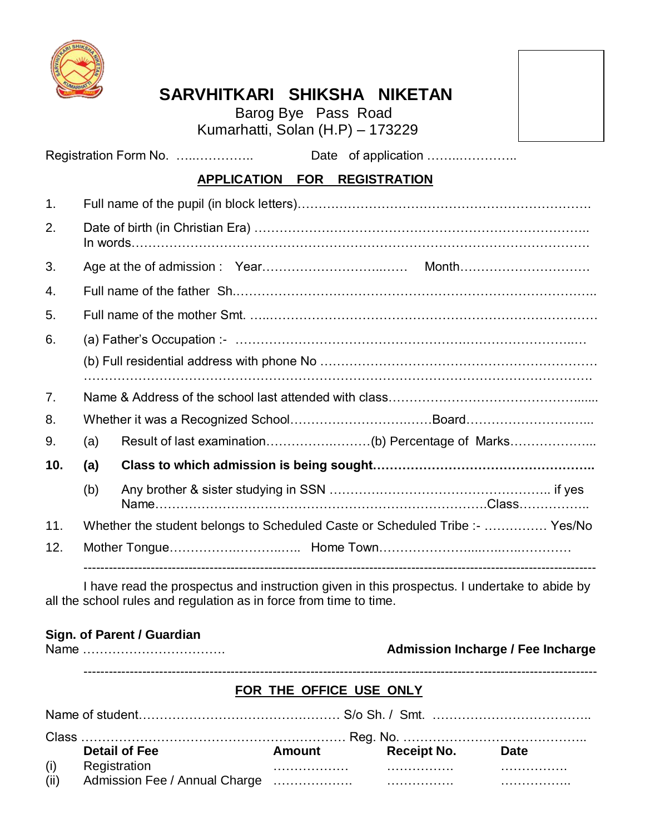

# **SARVHITKARI SHIKSHA NIKETAN**

 Barog Bye Pass Road Kumarhatti, Solan (H.P) – 173229



Registration Form No. …..………….. Date of application ……..…………..

# **APPLICATION FOR REGISTRATION**

| $\mathbf{1}$ . |                                                                              |  |  |  |  |  |
|----------------|------------------------------------------------------------------------------|--|--|--|--|--|
| 2.             |                                                                              |  |  |  |  |  |
| 3.             |                                                                              |  |  |  |  |  |
| 4.             |                                                                              |  |  |  |  |  |
| 5.             |                                                                              |  |  |  |  |  |
| 6.             |                                                                              |  |  |  |  |  |
|                |                                                                              |  |  |  |  |  |
| 7.             |                                                                              |  |  |  |  |  |
| 8.             |                                                                              |  |  |  |  |  |
| 9.             | (a)                                                                          |  |  |  |  |  |
| 10.            | (a)                                                                          |  |  |  |  |  |
|                | (b)                                                                          |  |  |  |  |  |
| 11.            | Whether the student belongs to Scheduled Caste or Scheduled Tribe :-  Yes/No |  |  |  |  |  |
| 12.            |                                                                              |  |  |  |  |  |

I have read the prospectus and instruction given in this prospectus. I undertake to abide by all the school rules and regulation as in force from time to time.

#### **Sign. of Parent / Guardian**

| Name |  |  |
|------|--|--|
|------|--|--|

## Name ……………………………. **Admission Incharge / Fee Incharge**

--------------------------------------------------------------------------------------------------------------------------

## **FOR THE OFFICE USE ONLY**

|      | <b>Detail of Fee</b> | <b>Amount</b> | Receipt No. Date |  |  |  |
|------|----------------------|---------------|------------------|--|--|--|
| (i)  | Registration         |               |                  |  |  |  |
| (ii) |                      |               |                  |  |  |  |